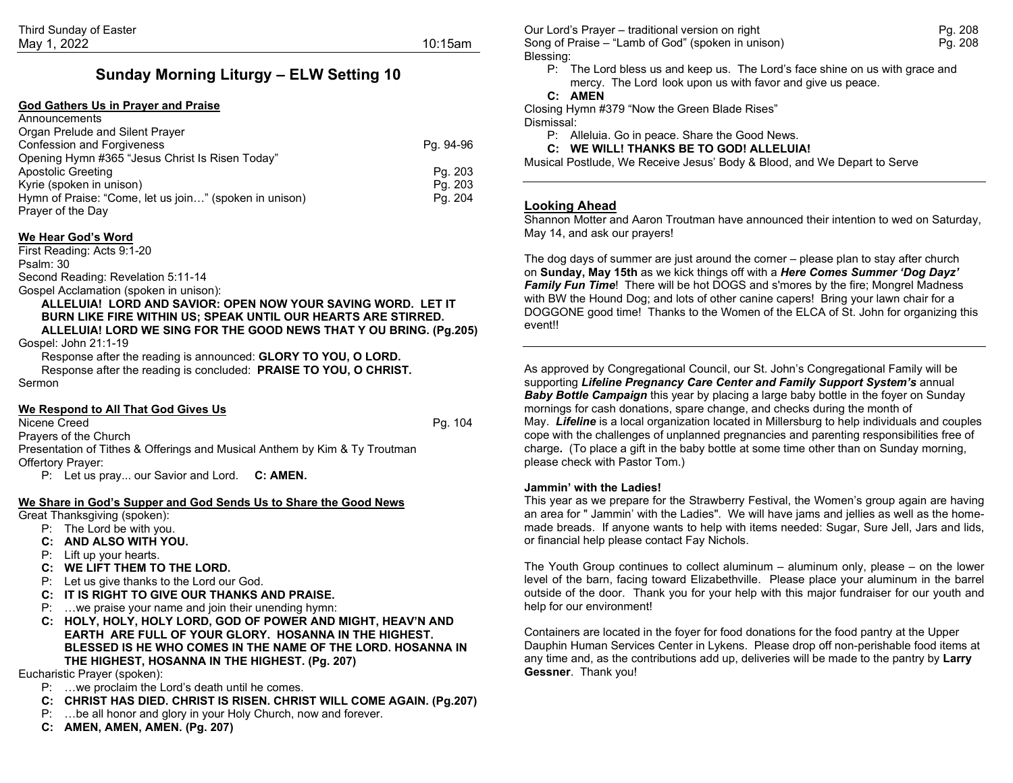# **Sunday Morning Liturgy – ELW Setting 10**

#### **God Gathers Us in Prayer and Praise**

| Announcements                                          |           |
|--------------------------------------------------------|-----------|
| Organ Prelude and Silent Prayer                        |           |
| <b>Confession and Forgiveness</b>                      | Pg. 94-96 |
| Opening Hymn #365 "Jesus Christ Is Risen Today"        |           |
| Apostolic Greeting                                     | Pg. 203   |
| Kyrie (spoken in unison)                               | Pg. 203   |
| Hymn of Praise: "Come, let us join" (spoken in unison) | Pg. 204   |
| Prayer of the Day                                      |           |

#### **We Hear God's Word**

First Reading: Acts 9:1-20 Psalm: 30

Second Reading: Revelation 5:11-14

#### Gospel Acclamation (spoken in unison):

**ALLELUIA! LORD AND SAVIOR: OPEN NOW YOUR SAVING WORD. LET IT BURN LIKE FIRE WITHIN US; SPEAK UNTIL OUR HEARTS ARE STIRRED. ALLELUIA! LORD WE SING FOR THE GOOD NEWS THAT Y OU BRING. (Pg.205)**

Gospel: John 21:1-19

Response after the reading is announced: **GLORY TO YOU, O LORD.** Response after the reading is concluded: **PRAISE TO YOU, O CHRIST.** Sermon

#### **We Respond to All That God Gives Us**

Nicene Creed **Pg. 104** 

Prayers of the Church Presentation of Tithes & Offerings and Musical Anthem by Kim & Ty Troutman Offertory Prayer:

P: Let us pray... our Savior and Lord. **C: AMEN.**

### **We Share in God's Supper and God Sends Us to Share the Good News**

Great Thanksgiving (spoken):

- P: The Lord be with you.
- **C: AND ALSO WITH YOU.**
- P: Lift up your hearts.
- **C: WE LIFT THEM TO THE LORD.**
- P: Let us give thanks to the Lord our God.
- **C: IT IS RIGHT TO GIVE OUR THANKS AND PRAISE.**
- P: …we praise your name and join their unending hymn:
- **C: HOLY, HOLY, HOLY LORD, GOD OF POWER AND MIGHT, HEAV'N AND EARTH ARE FULL OF YOUR GLORY. HOSANNA IN THE HIGHEST. BLESSED IS HE WHO COMES IN THE NAME OF THE LORD. HOSANNA IN THE HIGHEST, HOSANNA IN THE HIGHEST. (Pg. 207)**

Eucharistic Prayer (spoken):

- P: …we proclaim the Lord's death until he comes.
- **C: CHRIST HAS DIED. CHRIST IS RISEN. CHRIST WILL COME AGAIN. (Pg.207)**
- P: …be all honor and glory in your Holy Church, now and forever.
- **C: AMEN, AMEN, AMEN. (Pg. 207)**

Our Lord's Prayer – traditional version on right Pg. 208 Song of Praise – "Lamb of God" (spoken in unison) example the example of Praise Pg. 208 Blessing:

P: The Lord bless us and keep us. The Lord's face shine on us with grace and mercy. The Lord look upon us with favor and give us peace.

## **C: AMEN**

Closing Hymn #379 "Now the Green Blade Rises" Dismissal:

P: Alleluia. Go in peace. Share the Good News.

**C: WE WILL! THANKS BE TO GOD! ALLELUIA!**

Musical Postlude, We Receive Jesus' Body & Blood, and We Depart to Serve

#### **Looking Ahead**

Shannon Motter and Aaron Troutman have announced their intention to wed on Saturday, May 14, and ask our prayers!

The dog days of summer are just around the corner – please plan to stay after church on **Sunday, May 15th** as we kick things off with a *Here Comes Summer 'Dog Dayz' Family Fun Time*! There will be hot DOGS and s'mores by the fire; Mongrel Madness with BW the Hound Dog; and lots of other canine capers! Bring your lawn chair for a DOGGONE good time! Thanks to the Women of the ELCA of St. John for organizing this event!!

As approved by Congregational Council, our St. John's Congregational Family will be supporting *Lifeline Pregnancy Care Center and Family Support System's* annual *Baby Bottle Campaign* this year by placing a large baby bottle in the foyer on Sunday mornings for cash donations, spare change, and checks during the month of May.*Lifeline* is a local organization located in Millersburg to help individuals and couples cope with the challenges of unplanned pregnancies and parenting responsibilities free of charge**.** (To place a gift in the baby bottle at some time other than on Sunday morning, please check with Pastor Tom.)

#### **Jammin' with the Ladies!**

This year as we prepare for the Strawberry Festival, the Women's group again are having an area for " Jammin' with the Ladies". We will have jams and jellies as well as the homemade breads. If anyone wants to help with items needed: Sugar, Sure Jell, Jars and lids, or financial help please contact Fay Nichols.

The Youth Group continues to collect aluminum – aluminum only, please – on the lower level of the barn, facing toward Elizabethville. Please place your aluminum in the barrel outside of the door. Thank you for your help with this major fundraiser for our youth and help for our environment!

Containers are located in the foyer for food donations for the food pantry at the Upper Dauphin Human Services Center in Lykens. Please drop off non-perishable food items at any time and, as the contributions add up, deliveries will be made to the pantry by **Larry Gessner**. Thank you!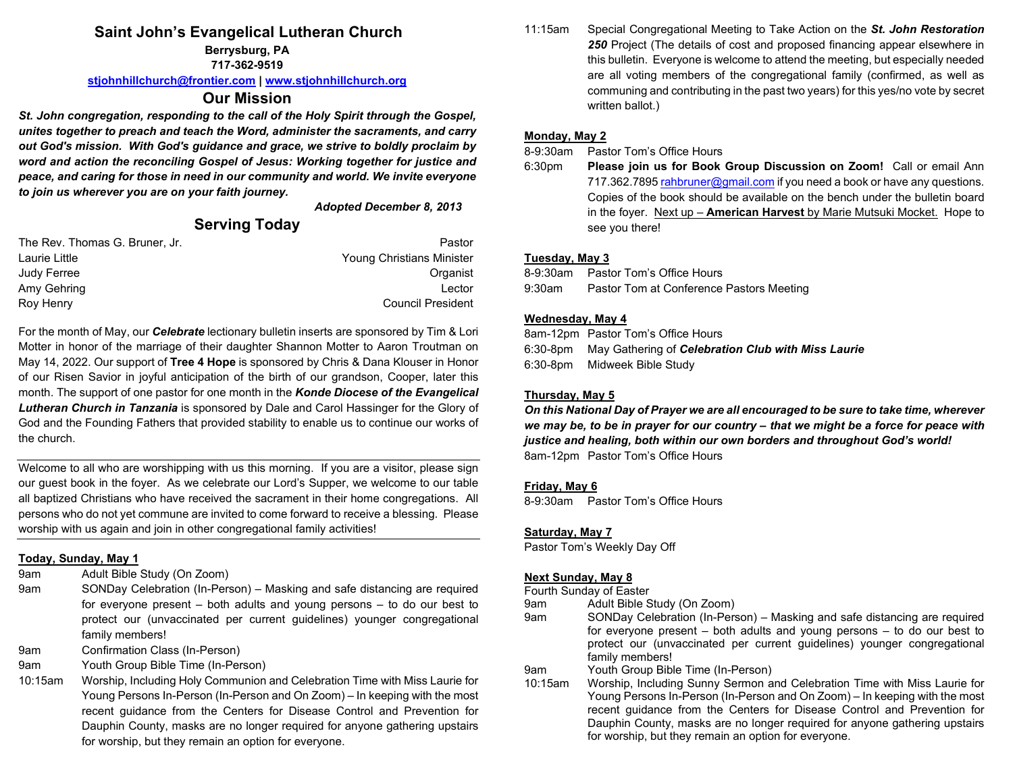# **Saint John's Evangelical Lutheran Church**

**Berrysburg, PA**

**717-362-9519**

**[stjohnhillchurch@frontier.com](mailto:stjohnhillchurch@frontier.com) | [www.stjohnhillchurch.org](http://www.stjohnhillchurch.org/)**

# **Our Mission**

*St. John congregation, responding to the call of the Holy Spirit through the Gospel, unites together to preach and teach the Word, administer the sacraments, and carry out God's mission. With God's guidance and grace, we strive to boldly proclaim by word and action the reconciling Gospel of Jesus: Working together for justice and peace, and caring for those in need in our community and world. We invite everyone to join us wherever you are on your faith journey.*

*Adopted December 8, 2013*

# **Serving Today**

| The Rev. Thomas G. Bruner, Jr. | Pastor                    |
|--------------------------------|---------------------------|
| Laurie Little                  | Young Christians Minister |
| Judy Ferree                    | Organist                  |
| Amy Gehring                    | I ector                   |
| Roy Henry                      | <b>Council President</b>  |

For the month of May, our *Celebrate* lectionary bulletin inserts are sponsored by Tim & Lori Motter in honor of the marriage of their daughter Shannon Motter to Aaron Troutman on May 14, 2022. Our support of **Tree 4 Hope** is sponsored by Chris & Dana Klouser in Honor of our Risen Savior in joyful anticipation of the birth of our grandson, Cooper, later this month. The support of one pastor for one month in the *Konde Diocese of the Evangelical Lutheran Church in Tanzania* is sponsored by Dale and Carol Hassinger for the Glory of God and the Founding Fathers that provided stability to enable us to continue our works of the church.

Welcome to all who are worshipping with us this morning. If you are a visitor, please sign our guest book in the foyer. As we celebrate our Lord's Supper, we welcome to our table all baptized Christians who have received the sacrament in their home congregations. All persons who do not yet commune are invited to come forward to receive a blessing. Please worship with us again and join in other congregational family activities!

## **Today, Sunday, May 1**

- 9am Adult Bible Study (On Zoom)
- 9am SONDay Celebration (In-Person) Masking and safe distancing are required for everyone present – both adults and young persons – to do our best to protect our (unvaccinated per current guidelines) younger congregational family members!
- 9am Confirmation Class (In-Person)
- 9am Youth Group Bible Time (In-Person)
- 10:15am Worship, Including Holy Communion and Celebration Time with Miss Laurie for Young Persons In-Person (In-Person and On Zoom) – In keeping with the most recent guidance from the Centers for Disease Control and Prevention for Dauphin County, masks are no longer required for anyone gathering upstairs for worship, but they remain an option for everyone.

11:15am Special Congregational Meeting to Take Action on the *St. John Restoration 250* Project (The details of cost and proposed financing appear elsewhere in this bulletin. Everyone is welcome to attend the meeting, but especially needed are all voting members of the congregational family (confirmed, as well as communing and contributing in the past two years) for this yes/no vote by secret written ballot.)

# **Monday, May 2**

8-9:30am Pastor Tom's Office Hours

6:30pm **Please join us for Book Group Discussion on Zoom!** Call or email Ann 717.362.789[5 rahbruner@gmail.com](mailto:rahbruner@gmail.com) if you need a book or have any questions. Copies of the book should be available on the bench under the bulletin board in the foyer. Next up – **American Harvest** by Marie Mutsuki Mocket. Hope to see you there!

# **Tuesday, May 3**

8-9:30am Pastor Tom's Office Hours 9:30am Pastor Tom at Conference Pastors Meeting

## **Wednesday, May 4**

8am-12pm Pastor Tom's Office Hours 6:30-8pm May Gathering of *Celebration Club with Miss Laurie* 6:30-8pm Midweek Bible Study

# **Thursday, May 5**

*On this National Day of Prayer we are all encouraged to be sure to take time, wherever we may be, to be in prayer for our country – that we might be a force for peace with justice and healing, both within our own borders and throughout God's world!* 8am-12pm Pastor Tom's Office Hours

## **Friday, May 6**

8-9:30am Pastor Tom's Office Hours

## **Saturday, May 7**

Pastor Tom's Weekly Day Off

## **Next Sunday, May 8**

Fourth Sunday of Easter

- 9am Adult Bible Study (On Zoom)
- 9am SONDay Celebration (In-Person) Masking and safe distancing are required for everyone present – both adults and young persons – to do our best to protect our (unvaccinated per current guidelines) younger congregational family members!
- 9am Youth Group Bible Time (In-Person)<br>10:15am Worship, Including Sunny Sermon a
- Worship, Including Sunny Sermon and Celebration Time with Miss Laurie for Young Persons In-Person (In-Person and On Zoom) – In keeping with the most recent guidance from the Centers for Disease Control and Prevention for Dauphin County, masks are no longer required for anyone gathering upstairs for worship, but they remain an option for everyone.